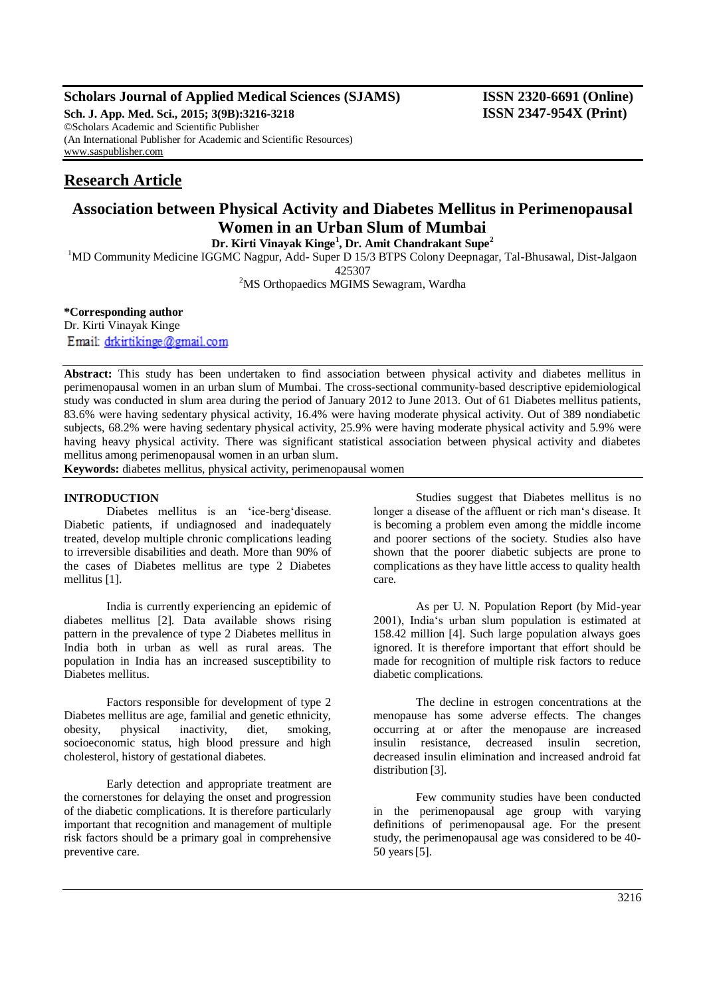## **Scholars Journal of Applied Medical Sciences (SJAMS) ISSN 2320-6691 (Online)**

**Sch. J. App. Med. Sci., 2015; 3(9B):3216-3218 ISSN 2347-954X (Print)** ©Scholars Academic and Scientific Publisher (An International Publisher for Academic and Scientific Resources) [www.saspublisher.com](http://www.saspublisher.com/)

# **Research Article**

## **Association between Physical Activity and Diabetes Mellitus in Perimenopausal Women in an Urban Slum of Mumbai**

**Dr. Kirti Vinayak Kinge<sup>1</sup> , Dr. Amit Chandrakant Supe<sup>2</sup>**

<sup>1</sup>MD Community Medicine IGGMC Nagpur, Add- Super D 15/3 BTPS Colony Deepnagar, Tal-Bhusawal, Dist-Jalgaon 425307

<sup>2</sup>MS Orthopaedics MGIMS Sewagram, Wardha

**\*Corresponding author**

Dr. Kirti Vinayak Kinge

Email: drkirtikinge@gmail.com

**Abstract:** This study has been undertaken to find association between physical activity and diabetes mellitus in perimenopausal women in an urban slum of Mumbai. The cross-sectional community-based descriptive epidemiological study was conducted in slum area during the period of January 2012 to June 2013. Out of 61 Diabetes mellitus patients, 83.6% were having sedentary physical activity, 16.4% were having moderate physical activity. Out of 389 nondiabetic subjects, 68.2% were having sedentary physical activity, 25.9% were having moderate physical activity and 5.9% were having heavy physical activity. There was significant statistical association between physical activity and diabetes mellitus among perimenopausal women in an urban slum.

**Keywords:** diabetes mellitus, physical activity, perimenopausal women

#### **INTRODUCTION**

Diabetes mellitus is an 'ice-berg'disease. Diabetic patients, if undiagnosed and inadequately treated, develop multiple chronic complications leading to irreversible disabilities and death. More than 90% of the cases of Diabetes mellitus are type 2 Diabetes mellitus [1].

India is currently experiencing an epidemic of diabetes mellitus [2]. Data available shows rising pattern in the prevalence of type 2 Diabetes mellitus in India both in urban as well as rural areas. The population in India has an increased susceptibility to Diabetes mellitus.

Factors responsible for development of type 2 Diabetes mellitus are age, familial and genetic ethnicity, obesity, physical inactivity, diet, smoking, obesity, physical inactivity, diet, smoking, socioeconomic status, high blood pressure and high cholesterol, history of gestational diabetes.

Early detection and appropriate treatment are the cornerstones for delaying the onset and progression of the diabetic complications. It is therefore particularly important that recognition and management of multiple risk factors should be a primary goal in comprehensive preventive care.

Studies suggest that Diabetes mellitus is no longer a disease of the affluent or rich man's disease. It is becoming a problem even among the middle income and poorer sections of the society. Studies also have shown that the poorer diabetic subjects are prone to complications as they have little access to quality health care.

As per U. N. Population Report (by Mid-year 2001), India's urban slum population is estimated at 158.42 million [4]. Such large population always goes ignored. It is therefore important that effort should be made for recognition of multiple risk factors to reduce diabetic complications.

The decline in estrogen concentrations at the menopause has some adverse effects. The changes occurring at or after the menopause are increased insulin resistance, decreased insulin secretion, decreased insulin elimination and increased android fat distribution [3].

Few community studies have been conducted in the perimenopausal age group with varying definitions of perimenopausal age. For the present study, the perimenopausal age was considered to be 40- 50 years[5].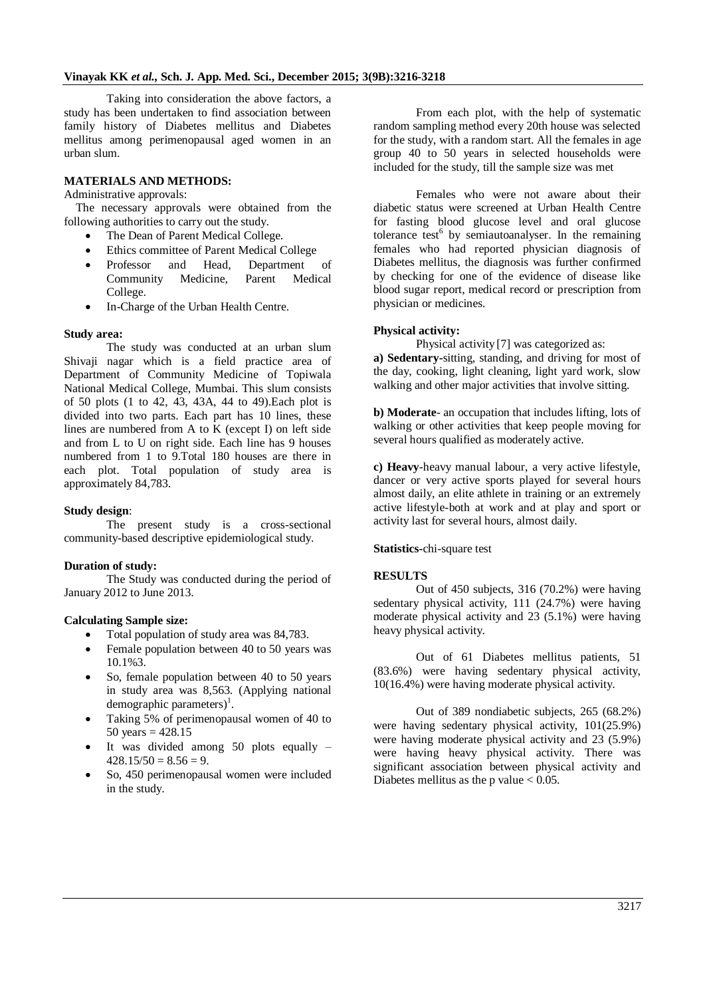Taking into consideration the above factors, a study has been undertaken to find association between family history of Diabetes mellitus and Diabetes mellitus among perimenopausal aged women in an urban slum.

#### **MATERIALS AND METHODS:**

Administrative approvals:

The necessary approvals were obtained from the following authorities to carry out the study.

- The Dean of Parent Medical College.
- Ethics committee of Parent Medical College
- Professor and Head, Department of Community Medicine, Parent Medical College.
- In-Charge of the Urban Health Centre.

#### **Study area:**

The study was conducted at an urban slum Shivaji nagar which is a field practice area of Department of Community Medicine of Topiwala National Medical College, Mumbai. This slum consists of 50 plots (1 to 42, 43, 43A, 44 to 49).Each plot is divided into two parts. Each part has 10 lines, these lines are numbered from A to K (except I) on left side and from L to U on right side. Each line has 9 houses numbered from 1 to 9.Total 180 houses are there in each plot. Total population of study area is approximately 84,783.

#### **Study design**:

The present study is a cross-sectional community-based descriptive epidemiological study.

#### **Duration of study:**

The Study was conducted during the period of January 2012 to June 2013.

#### **Calculating Sample size:**

- Total population of study area was 84,783.
- Female population between 40 to 50 years was 10.1%3.
- So, female population between 40 to 50 years in study area was 8,563. (Applying national  $demographic parameters)^{1}$ .
- Taking 5% of perimenopausal women of 40 to 50 years =  $428.15$
- It was divided among 50 plots equally  $428.15/50 = 8.56 = 9.$
- So, 450 perimenopausal women were included in the study.

From each plot, with the help of systematic random sampling method every 20th house was selected for the study, with a random start. All the females in age group 40 to 50 years in selected households were included for the study, till the sample size was met

Females who were not aware about their diabetic status were screened at Urban Health Centre for fasting blood glucose level and oral glucose tolerance  $test^6$  by semiautoanalyser. In the remaining females who had reported physician diagnosis of Diabetes mellitus, the diagnosis was further confirmed by checking for one of the evidence of disease like blood sugar report, medical record or prescription from physician or medicines.

#### **Physical activity:**

Physical activity [7] was categorized as: **a) Sedentary-**sitting, standing, and driving for most of the day, cooking, light cleaning, light yard work, slow walking and other major activities that involve sitting.

**b) Moderate**- an occupation that includes lifting, lots of walking or other activities that keep people moving for several hours qualified as moderately active.

**c) Heavy**-heavy manual labour, a very active lifestyle, dancer or very active sports played for several hours almost daily, an elite athlete in training or an extremely active lifestyle-both at work and at play and sport or activity last for several hours, almost daily.

**Statistics-**chi-square test

#### **RESULTS**

Out of 450 subjects, 316 (70.2%) were having sedentary physical activity, 111 (24.7%) were having moderate physical activity and 23 (5.1%) were having heavy physical activity.

Out of 61 Diabetes mellitus patients, 51 (83.6%) were having sedentary physical activity, 10(16.4%) were having moderate physical activity.

Out of 389 nondiabetic subjects, 265 (68.2%) were having sedentary physical activity, 101(25.9%) were having moderate physical activity and 23 (5.9%) were having heavy physical activity. There was significant association between physical activity and Diabetes mellitus as the p value  $< 0.05$ .